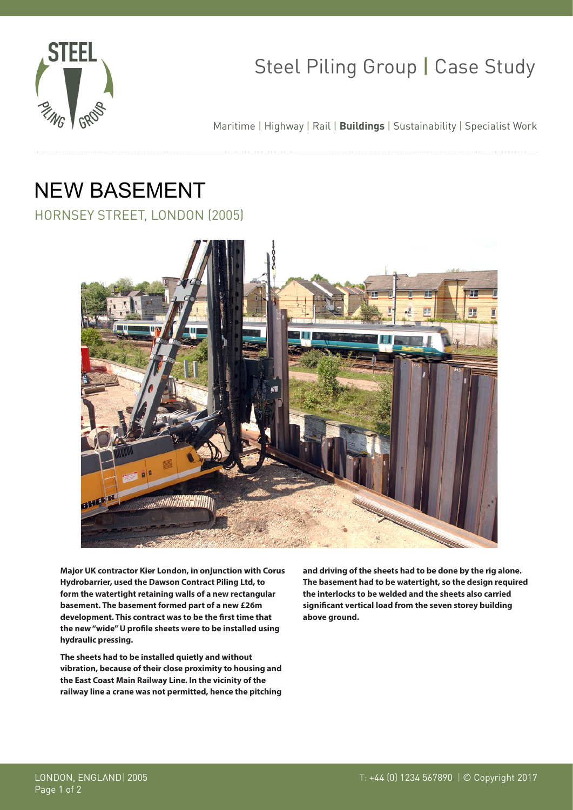

## Steel Piling Group | Case Study

Maritime | Highway | Rail | **Buildings** | Sustainability | Specialist Work

# NEW BASEMENT

HORNSEY STREET, LONDON (2005)



**Major UK contractor Kier London, in onjunction with Corus Hydrobarrier, used the Dawson Contract Piling Ltd, to form the watertight retaining walls of a new rectangular basement. The basement formed part of a new £26m development. This contract was to be the first time that the new "wide" U profile sheets were to be installed using hydraulic pressing.**

**The sheets had to be installed quietly and without vibration, because of their close proximity to housing and the East Coast Main Railway Line. In the vicinity of the railway line a crane was not permitted, hence the pitching**  **and driving of the sheets had to be done by the rig alone. The basement had to be watertight, so the design required the interlocks to be welded and the sheets also carried significant vertical load from the seven storey building above ground.**